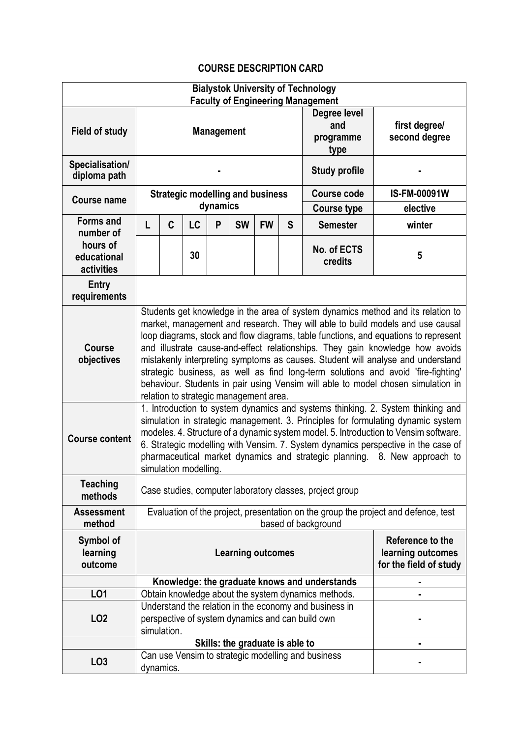## **COURSE DESCRIPTION CARD**

|                                       |                                                                                                                                                                                                                                                                                                                                                                                                                                                                                                                                                                                                                                                  |   |    |   |           |           |                                                                 | <b>Bialystok University of Technology</b>                |                     |
|---------------------------------------|--------------------------------------------------------------------------------------------------------------------------------------------------------------------------------------------------------------------------------------------------------------------------------------------------------------------------------------------------------------------------------------------------------------------------------------------------------------------------------------------------------------------------------------------------------------------------------------------------------------------------------------------------|---|----|---|-----------|-----------|-----------------------------------------------------------------|----------------------------------------------------------|---------------------|
| <b>Field of study</b>                 | <b>Faculty of Engineering Management</b><br>Degree level<br>and<br><b>Management</b><br>programme<br>type                                                                                                                                                                                                                                                                                                                                                                                                                                                                                                                                        |   |    |   |           |           |                                                                 | first degree/<br>second degree                           |                     |
| Specialisation/<br>diploma path       |                                                                                                                                                                                                                                                                                                                                                                                                                                                                                                                                                                                                                                                  |   |    |   |           |           | <b>Study profile</b>                                            |                                                          |                     |
| <b>Course name</b>                    | <b>Strategic modelling and business</b>                                                                                                                                                                                                                                                                                                                                                                                                                                                                                                                                                                                                          |   |    |   |           |           |                                                                 | <b>Course code</b>                                       | <b>IS-FM-00091W</b> |
| <b>Forms and</b>                      | dynamics                                                                                                                                                                                                                                                                                                                                                                                                                                                                                                                                                                                                                                         |   |    |   |           |           |                                                                 | <b>Course type</b>                                       | elective            |
| number of                             | L                                                                                                                                                                                                                                                                                                                                                                                                                                                                                                                                                                                                                                                | C | LC | P | <b>SW</b> | <b>FW</b> | S                                                               | <b>Semester</b>                                          | winter              |
| hours of<br>educational<br>activities |                                                                                                                                                                                                                                                                                                                                                                                                                                                                                                                                                                                                                                                  |   | 30 |   |           |           |                                                                 | No. of ECTS<br>credits                                   | 5                   |
| Entry<br>requirements                 |                                                                                                                                                                                                                                                                                                                                                                                                                                                                                                                                                                                                                                                  |   |    |   |           |           |                                                                 |                                                          |                     |
| <b>Course</b><br>objectives           | Students get knowledge in the area of system dynamics method and its relation to<br>market, management and research. They will able to build models and use causal<br>loop diagrams, stock and flow diagrams, table functions, and equations to represent<br>and illustrate cause-and-effect relationships. They gain knowledge how avoids<br>mistakenly interpreting symptoms as causes. Student will analyse and understand<br>strategic business, as well as find long-term solutions and avoid 'fire-fighting'<br>behaviour. Students in pair using Vensim will able to model chosen simulation in<br>relation to strategic management area. |   |    |   |           |           |                                                                 |                                                          |                     |
| <b>Course content</b>                 | 1. Introduction to system dynamics and systems thinking. 2. System thinking and<br>simulation in strategic management. 3. Principles for formulating dynamic system<br>modeles. 4. Structure of a dynamic system model. 5. Introduction to Vensim software.<br>6. Strategic modelling with Vensim. 7. System dynamics perspective in the case of<br>pharmaceutical market dynamics and strategic planning. 8. New approach to<br>simulation modelling.                                                                                                                                                                                           |   |    |   |           |           |                                                                 |                                                          |                     |
| <b>Teaching</b><br>methods            |                                                                                                                                                                                                                                                                                                                                                                                                                                                                                                                                                                                                                                                  |   |    |   |           |           |                                                                 | Case studies, computer laboratory classes, project group |                     |
| <b>Assessment</b><br>method           | Evaluation of the project, presentation on the group the project and defence, test<br>based of background                                                                                                                                                                                                                                                                                                                                                                                                                                                                                                                                        |   |    |   |           |           |                                                                 |                                                          |                     |
| Symbol of<br>learning<br>outcome      | <b>Learning outcomes</b>                                                                                                                                                                                                                                                                                                                                                                                                                                                                                                                                                                                                                         |   |    |   |           |           | Reference to the<br>learning outcomes<br>for the field of study |                                                          |                     |
|                                       |                                                                                                                                                                                                                                                                                                                                                                                                                                                                                                                                                                                                                                                  |   |    |   |           |           |                                                                 | Knowledge: the graduate knows and understands            |                     |
| L <sub>01</sub>                       |                                                                                                                                                                                                                                                                                                                                                                                                                                                                                                                                                                                                                                                  |   |    |   |           |           |                                                                 | Obtain knowledge about the system dynamics methods.      |                     |
| L <sub>02</sub>                       | Understand the relation in the economy and business in<br>perspective of system dynamics and can build own<br>simulation.                                                                                                                                                                                                                                                                                                                                                                                                                                                                                                                        |   |    |   |           |           |                                                                 |                                                          |                     |
|                                       | Skills: the graduate is able to                                                                                                                                                                                                                                                                                                                                                                                                                                                                                                                                                                                                                  |   |    |   |           |           |                                                                 |                                                          |                     |
| LO <sub>3</sub>                       |                                                                                                                                                                                                                                                                                                                                                                                                                                                                                                                                                                                                                                                  |   |    |   |           |           |                                                                 | Can use Vensim to strategic modelling and business       |                     |
|                                       | dynamics.                                                                                                                                                                                                                                                                                                                                                                                                                                                                                                                                                                                                                                        |   |    |   |           |           |                                                                 |                                                          |                     |